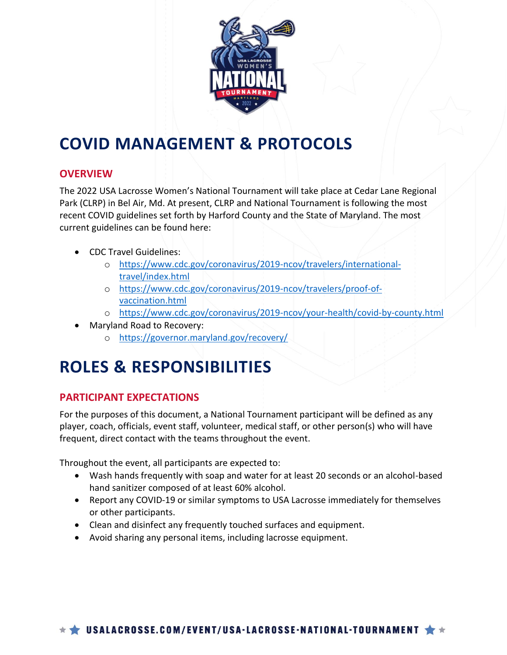

## **COVID MANAGEMENT & PROTOCOLS**

### **OVERVIEW**

The 2022 USA Lacrosse Women's National Tournament will take place at Cedar Lane Regional Park (CLRP) in Bel Air, Md. At present, CLRP and National Tournament is following the most recent COVID guidelines set forth by Harford County and the State of Maryland. The most current guidelines can be found here:

- CDC Travel Guidelines:
	- o [https://www.cdc.gov/coronavirus/2019-ncov/travelers/international](https://www.cdc.gov/coronavirus/2019-ncov/travelers/international-travel/index.html)[travel/index.html](https://www.cdc.gov/coronavirus/2019-ncov/travelers/international-travel/index.html)
	- o [https://www.cdc.gov/coronavirus/2019-ncov/travelers/proof-of](https://www.cdc.gov/coronavirus/2019-ncov/travelers/proof-of-vaccination.html)[vaccination.html](https://www.cdc.gov/coronavirus/2019-ncov/travelers/proof-of-vaccination.html)
	- o <https://www.cdc.gov/coronavirus/2019-ncov/your-health/covid-by-county.html>
- Maryland Road to Recovery:
	- o <https://governor.maryland.gov/recovery/>

# **ROLES & RESPONSIBILITIES**

### **PARTICIPANT EXPECTATIONS**

For the purposes of this document, a National Tournament participant will be defined as any player, coach, officials, event staff, volunteer, medical staff, or other person(s) who will have frequent, direct contact with the teams throughout the event.

Throughout the event, all participants are expected to:

- Wash hands frequently with soap and water for at least 20 seconds or an alcohol-based hand sanitizer composed of at least 60% alcohol.
- Report any COVID-19 or similar symptoms to USA Lacrosse immediately for themselves or other participants.
- Clean and disinfect any frequently touched surfaces and equipment.
- Avoid sharing any personal items, including lacrosse equipment.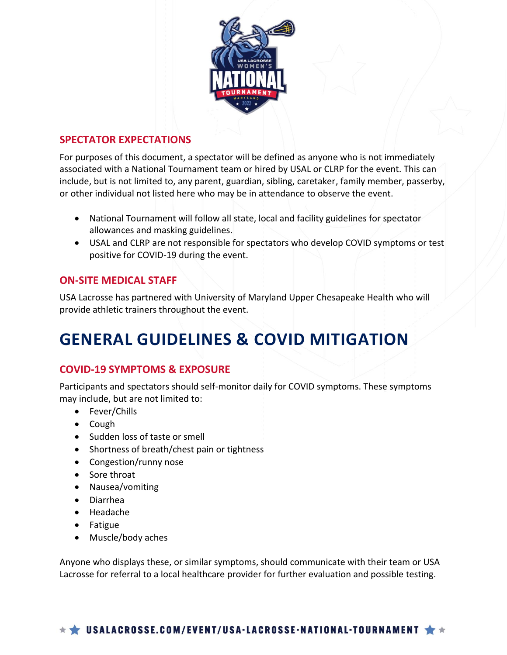

### **SPECTATOR EXPECTATIONS**

For purposes of this document, a spectator will be defined as anyone who is not immediately associated with a National Tournament team or hired by USAL or CLRP for the event. This can include, but is not limited to, any parent, guardian, sibling, caretaker, family member, passerby, or other individual not listed here who may be in attendance to observe the event.

- National Tournament will follow all state, local and facility guidelines for spectator allowances and masking guidelines.
- USAL and CLRP are not responsible for spectators who develop COVID symptoms or test positive for COVID-19 during the event.

#### **ON-SITE MEDICAL STAFF**

USA Lacrosse has partnered with University of Maryland Upper Chesapeake Health who will provide athletic trainers throughout the event.

## **GENERAL GUIDELINES & COVID MITIGATION**

### **COVID-19 SYMPTOMS & EXPOSURE**

Participants and spectators should self-monitor daily for COVID symptoms. These symptoms may include, but are not limited to:

- Fever/Chills
- Cough
- Sudden loss of taste or smell
- Shortness of breath/chest pain or tightness
- Congestion/runny nose
- Sore throat
- Nausea/vomiting
- Diarrhea
- Headache
- Fatigue
- Muscle/body aches

Anyone who displays these, or similar symptoms, should communicate with their team or USA Lacrosse for referral to a local healthcare provider for further evaluation and possible testing.